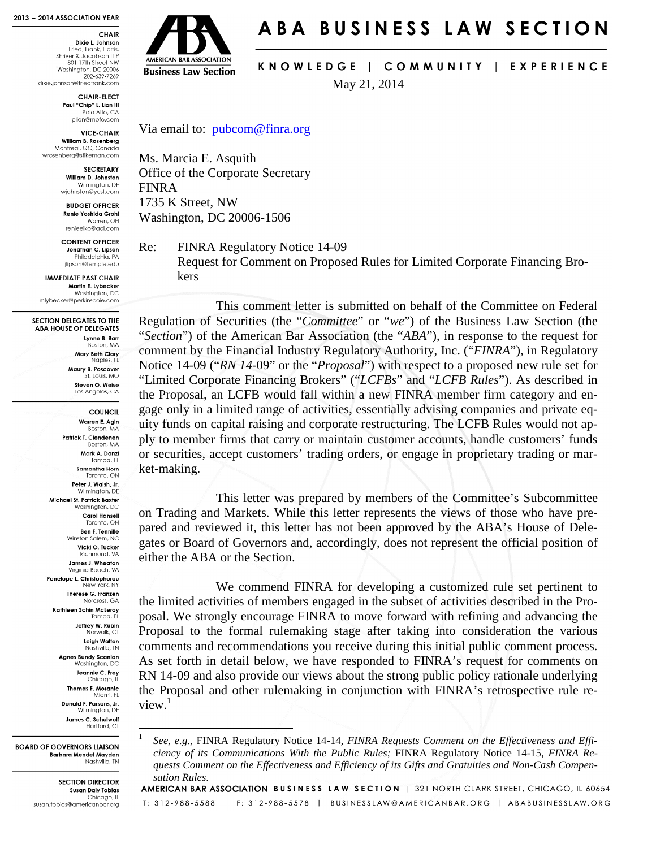#### 2013 - 2014 ASSOCIATION YEAR

CHAIR Dixie L. Johnson Fried, Frank, Harris

Shriver & Jacobson LLP<br>801 17th Street NW Washington, DC 20006 202-639-7269 dixie.johnson@friedfrank.com

> **CHAIR-ELECT** Paul "Chip" L. Lion III Palo Alto, CA plion@mofo.com

**VICE-CHAIR** William B. Rosenberg Montreal, QC, Canada wrosenberg@stikeman.com

**SECRETARY** 

William D. Johnston Wilmington, DE wjohnston@ycst.com

**BUDGET OFFICER** Renie Yoshida Grohl Warren, OH renieeiko@gol.com

**CONTENT OFFICER** Jonathan C. Lipson Philadelphia, PA ilipson@temple.edu

**IMMEDIATE PAST CHAIR** Martin E. Lybecker Washington, DC mlybecker@perkinscoie.com

SECTION DELEGATES TO THE **ABA HOUSE OF DELEGATES** Lynne B. Barr Boston, MA Mary Beth Clary Naples, FL Maury B. Poscover<br>St. Louis, MO Steven O. Weise Los Angeles, CA COUNCIL

> Warren E. Agin Boston, MA Patrick T. Clendenen Boston, MA Mark A. Danzi Tampa, FI **Samantha Horn**<br>Toronto, ON Peter J. Walsh, Jr. Wilmington, DE Michael St. Patrick Baxter Washington, DC **Carol Hansell** Toronto, ON Ben F. Tennille Winston Salem, NC Vicki O. Tucker Richmond, VA James J. Wheaton Virginia Beach, VA Penelope L. Christophorou<br>New York, NY Therese G. Franzen Norcross, GA **Kathleen Schin McLerov** ..........<br>Tampa, Fl Jeffrey W. Rubin Norwalk, CT Leigh Walton<br>Nashville, TN **Agnes Bundy Scanlan** Washington, DC Jeannie C. Frey Chicago, IL Thomas F. Morante Miami, FL Donald F. Parsons, Jr

Wilmington, DE James C. Schulwolf Hartford, CT

<u>.</u> 1

**BOARD OF GOVERNORS HAISON Barbara Mendel Mayden** Nashville, TN

> **SECTION DIRECTOR Susan Daly Tobias** Chicago, IL susan.tobias@americanbar.org



# ABA BUSINESS LAW SECTION

KNOWLEDGE | COMMUNITY | EXPERIENCE

May 21, 2014

Via email to: pubcom@finra.org

Ms. Marcia E. Asquith Office of the Corporate Secretary FINRA 1735 K Street, NW Washington, DC 20006-1506

Re: FINRA Regulatory Notice 14-09

Request for Comment on Proposed Rules for Limited Corporate Financing Brokers

 This comment letter is submitted on behalf of the Committee on Federal Regulation of Securities (the "*Committee*" or "*we*") of the Business Law Section (the "*Section*") of the American Bar Association (the "*ABA*"), in response to the request for comment by the Financial Industry Regulatory Authority, Inc. ("*FINRA*"), in Regulatory Notice 14-09 ("*RN 14-*09" or the "*Proposal*") with respect to a proposed new rule set for "Limited Corporate Financing Brokers" ("*LCFBs*" and "*LCFB Rules*"). As described in the Proposal, an LCFB would fall within a new FINRA member firm category and engage only in a limited range of activities, essentially advising companies and private equity funds on capital raising and corporate restructuring. The LCFB Rules would not apply to member firms that carry or maintain customer accounts, handle customers' funds or securities, accept customers' trading orders, or engage in proprietary trading or market-making.

 This letter was prepared by members of the Committee's Subcommittee on Trading and Markets. While this letter represents the views of those who have prepared and reviewed it, this letter has not been approved by the ABA's House of Delegates or Board of Governors and, accordingly, does not represent the official position of either the ABA or the Section.

 We commend FINRA for developing a customized rule set pertinent to the limited activities of members engaged in the subset of activities described in the Proposal. We strongly encourage FINRA to move forward with refining and advancing the Proposal to the formal rulemaking stage after taking into consideration the various comments and recommendations you receive during this initial public comment process. As set forth in detail below, we have responded to FINRA's request for comments on RN 14-09 and also provide our views about the strong public policy rationale underlying the Proposal and other rulemaking in conjunction with FINRA's retrospective rule re $view<sup>1</sup>$ 

*See, e.g.,* FINRA Regulatory Notice 14-14, *FINRA Requests Comment on the Effectiveness and Efficiency of its Communications With the Public Rules;* FINRA Regulatory Notice 14-15, *FINRA Requests Comment on the Effectiveness and Efficiency of its Gifts and Gratuities and Non-Cash Compen-*

*sation Rules.*<br>AMERICAN BAR ASSOCIATION BUSINESS LAW SECTION | 321 NORTH CLARK STREET, CHICAGO, IL 60654 T: 312-988-5588 | F: 312-988-5578 | BUSINESSLAW@AMERICANBAR.ORG | ABABUSINESSLAW.ORG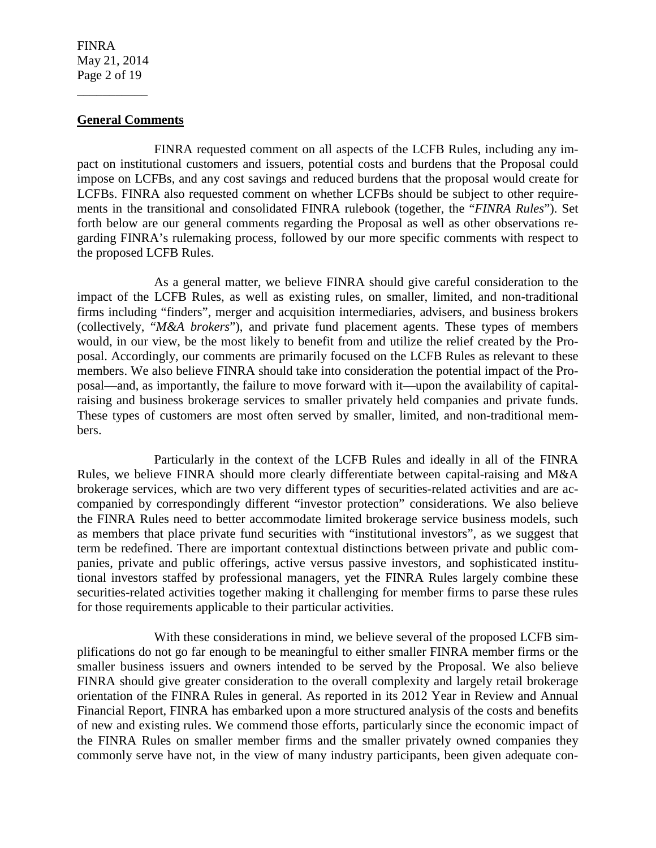FINRA May 21, 2014 Page 2 of 19

\_\_\_\_\_\_\_\_\_\_\_

### **General Comments**

 FINRA requested comment on all aspects of the LCFB Rules, including any impact on institutional customers and issuers, potential costs and burdens that the Proposal could impose on LCFBs, and any cost savings and reduced burdens that the proposal would create for LCFBs. FINRA also requested comment on whether LCFBs should be subject to other requirements in the transitional and consolidated FINRA rulebook (together, the "*FINRA Rules*"). Set forth below are our general comments regarding the Proposal as well as other observations regarding FINRA's rulemaking process, followed by our more specific comments with respect to the proposed LCFB Rules.

 As a general matter, we believe FINRA should give careful consideration to the impact of the LCFB Rules, as well as existing rules, on smaller, limited, and non-traditional firms including "finders", merger and acquisition intermediaries, advisers, and business brokers (collectively, "*M&A brokers*"), and private fund placement agents. These types of members would, in our view, be the most likely to benefit from and utilize the relief created by the Proposal. Accordingly, our comments are primarily focused on the LCFB Rules as relevant to these members. We also believe FINRA should take into consideration the potential impact of the Proposal—and, as importantly, the failure to move forward with it—upon the availability of capitalraising and business brokerage services to smaller privately held companies and private funds. These types of customers are most often served by smaller, limited, and non-traditional members.

 Particularly in the context of the LCFB Rules and ideally in all of the FINRA Rules, we believe FINRA should more clearly differentiate between capital-raising and M&A brokerage services, which are two very different types of securities-related activities and are accompanied by correspondingly different "investor protection" considerations. We also believe the FINRA Rules need to better accommodate limited brokerage service business models, such as members that place private fund securities with "institutional investors", as we suggest that term be redefined. There are important contextual distinctions between private and public companies, private and public offerings, active versus passive investors, and sophisticated institutional investors staffed by professional managers, yet the FINRA Rules largely combine these securities-related activities together making it challenging for member firms to parse these rules for those requirements applicable to their particular activities.

 With these considerations in mind, we believe several of the proposed LCFB simplifications do not go far enough to be meaningful to either smaller FINRA member firms or the smaller business issuers and owners intended to be served by the Proposal. We also believe FINRA should give greater consideration to the overall complexity and largely retail brokerage orientation of the FINRA Rules in general. As reported in its 2012 Year in Review and Annual Financial Report, FINRA has embarked upon a more structured analysis of the costs and benefits of new and existing rules. We commend those efforts, particularly since the economic impact of the FINRA Rules on smaller member firms and the smaller privately owned companies they commonly serve have not, in the view of many industry participants, been given adequate con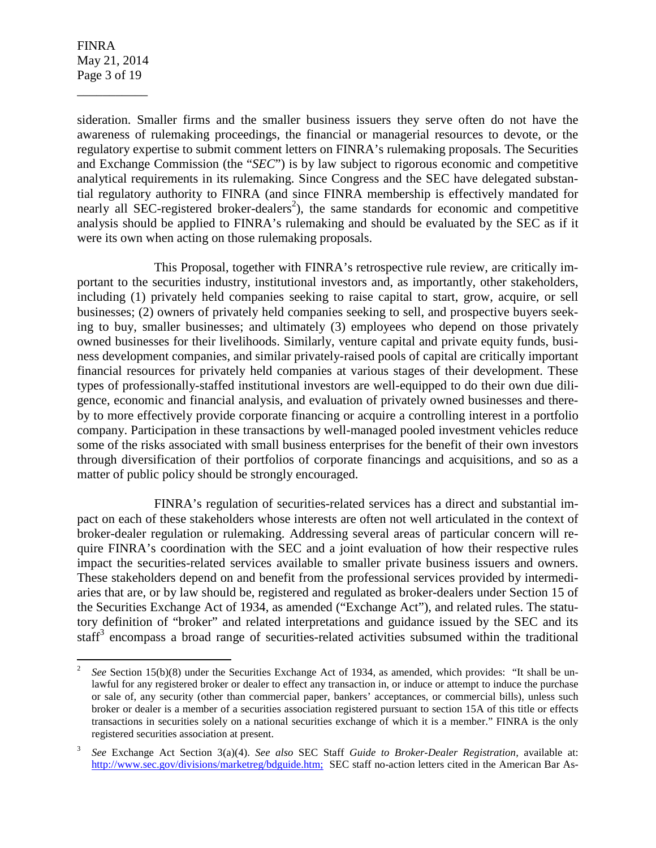FINRA May 21, 2014 Page 3 of 19

\_\_\_\_\_\_\_\_\_\_\_

sideration. Smaller firms and the smaller business issuers they serve often do not have the awareness of rulemaking proceedings, the financial or managerial resources to devote, or the regulatory expertise to submit comment letters on FINRA's rulemaking proposals. The Securities and Exchange Commission (the "*SEC*") is by law subject to rigorous economic and competitive analytical requirements in its rulemaking. Since Congress and the SEC have delegated substantial regulatory authority to FINRA (and since FINRA membership is effectively mandated for nearly all SEC-registered broker-dealers<sup>2</sup>), the same standards for economic and competitive analysis should be applied to FINRA's rulemaking and should be evaluated by the SEC as if it were its own when acting on those rulemaking proposals.

 This Proposal, together with FINRA's retrospective rule review, are critically important to the securities industry, institutional investors and, as importantly, other stakeholders, including (1) privately held companies seeking to raise capital to start, grow, acquire, or sell businesses; (2) owners of privately held companies seeking to sell, and prospective buyers seeking to buy, smaller businesses; and ultimately (3) employees who depend on those privately owned businesses for their livelihoods. Similarly, venture capital and private equity funds, business development companies, and similar privately-raised pools of capital are critically important financial resources for privately held companies at various stages of their development. These types of professionally-staffed institutional investors are well-equipped to do their own due diligence, economic and financial analysis, and evaluation of privately owned businesses and thereby to more effectively provide corporate financing or acquire a controlling interest in a portfolio company. Participation in these transactions by well-managed pooled investment vehicles reduce some of the risks associated with small business enterprises for the benefit of their own investors through diversification of their portfolios of corporate financings and acquisitions, and so as a matter of public policy should be strongly encouraged.

 FINRA's regulation of securities-related services has a direct and substantial impact on each of these stakeholders whose interests are often not well articulated in the context of broker-dealer regulation or rulemaking. Addressing several areas of particular concern will require FINRA's coordination with the SEC and a joint evaluation of how their respective rules impact the securities-related services available to smaller private business issuers and owners. These stakeholders depend on and benefit from the professional services provided by intermediaries that are, or by law should be, registered and regulated as broker-dealers under Section 15 of the Securities Exchange Act of 1934, as amended ("Exchange Act"), and related rules. The statutory definition of "broker" and related interpretations and guidance issued by the SEC and its staff<sup>3</sup> encompass a broad range of securities-related activities subsumed within the traditional

 $\frac{1}{2}$  *See* Section 15(b)(8) under the Securities Exchange Act of 1934, as amended, which provides: "It shall be unlawful for any registered broker or dealer to effect any transaction in, or induce or attempt to induce the purchase or sale of, any security (other than commercial paper, bankers' acceptances, or commercial bills), unless such broker or dealer is a member of a securities association registered pursuant to section 15A of this title or effects transactions in securities solely on a national securities exchange of which it is a member." FINRA is the only registered securities association at present.

<sup>3</sup> *See* Exchange Act Section 3(a)(4). *See also* SEC Staff *Guide to Broker-Dealer Registration,* available at: http://www.sec.gov/divisions/marketreg/bdguide.htm; SEC staff no-action letters cited in the American Bar As-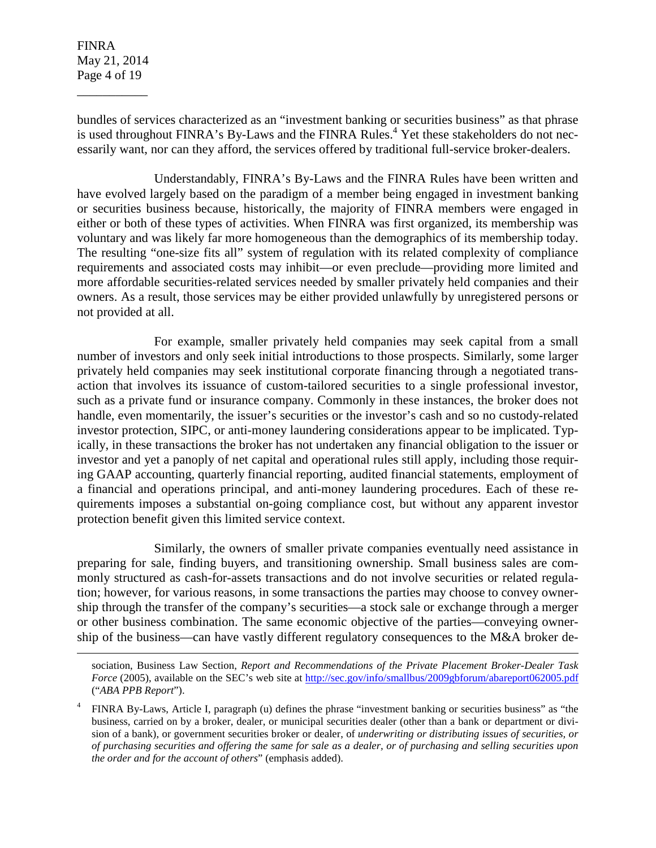FINRA May 21, 2014 Page 4 of 19

\_\_\_\_\_\_\_\_\_\_\_

 $\overline{a}$ 

bundles of services characterized as an "investment banking or securities business" as that phrase is used throughout FINRA's By-Laws and the FINRA Rules.<sup>4</sup> Yet these stakeholders do not necessarily want, nor can they afford, the services offered by traditional full-service broker-dealers.

 Understandably, FINRA's By-Laws and the FINRA Rules have been written and have evolved largely based on the paradigm of a member being engaged in investment banking or securities business because, historically, the majority of FINRA members were engaged in either or both of these types of activities. When FINRA was first organized, its membership was voluntary and was likely far more homogeneous than the demographics of its membership today. The resulting "one-size fits all" system of regulation with its related complexity of compliance requirements and associated costs may inhibit—or even preclude—providing more limited and more affordable securities-related services needed by smaller privately held companies and their owners. As a result, those services may be either provided unlawfully by unregistered persons or not provided at all.

 For example, smaller privately held companies may seek capital from a small number of investors and only seek initial introductions to those prospects. Similarly, some larger privately held companies may seek institutional corporate financing through a negotiated transaction that involves its issuance of custom-tailored securities to a single professional investor, such as a private fund or insurance company. Commonly in these instances, the broker does not handle, even momentarily, the issuer's securities or the investor's cash and so no custody-related investor protection, SIPC, or anti-money laundering considerations appear to be implicated. Typically, in these transactions the broker has not undertaken any financial obligation to the issuer or investor and yet a panoply of net capital and operational rules still apply, including those requiring GAAP accounting, quarterly financial reporting, audited financial statements, employment of a financial and operations principal, and anti-money laundering procedures. Each of these requirements imposes a substantial on-going compliance cost, but without any apparent investor protection benefit given this limited service context.

 Similarly, the owners of smaller private companies eventually need assistance in preparing for sale, finding buyers, and transitioning ownership. Small business sales are commonly structured as cash-for-assets transactions and do not involve securities or related regulation; however, for various reasons, in some transactions the parties may choose to convey ownership through the transfer of the company's securities—a stock sale or exchange through a merger or other business combination. The same economic objective of the parties—conveying ownership of the business—can have vastly different regulatory consequences to the M&A broker de-

sociation, Business Law Section, *Report and Recommendations of the Private Placement Broker-Dealer Task Force* (2005), available on the SEC's web site at http://sec.gov/info/smallbus/2009gbforum/abareport062005.pdf ("*ABA PPB Report*").

<sup>4</sup> FINRA By-Laws, Article I, paragraph (u) defines the phrase "investment banking or securities business" as "the business, carried on by a broker, dealer, or municipal securities dealer (other than a bank or department or division of a bank), or government securities broker or dealer, of *underwriting or distributing issues of securities, or of purchasing securities and offering the same for sale as a dealer, or of purchasing and selling securities upon the order and for the account of others*" (emphasis added).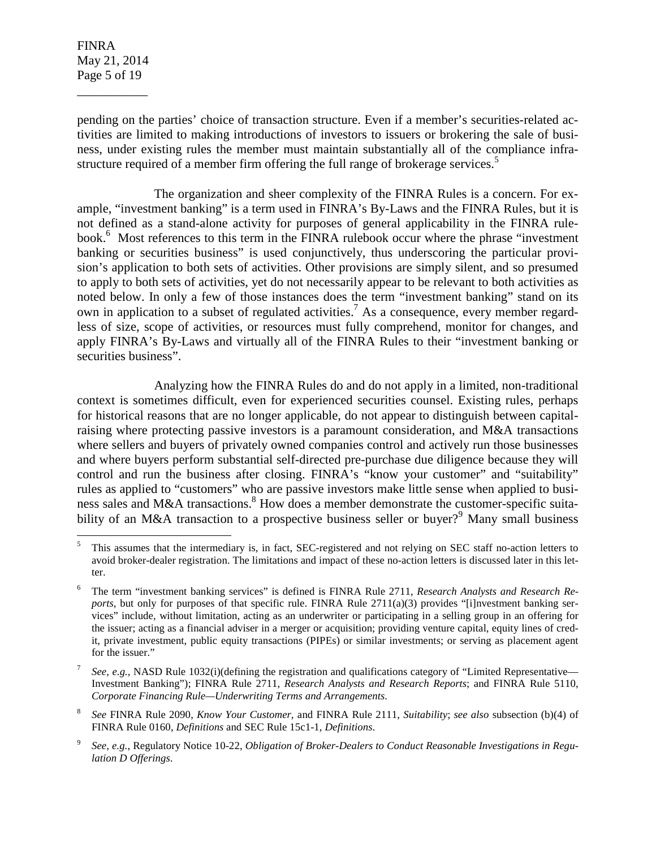FINRA May 21, 2014 Page 5 of 19

\_\_\_\_\_\_\_\_\_\_\_

 $\overline{a}$ 

pending on the parties' choice of transaction structure. Even if a member's securities-related activities are limited to making introductions of investors to issuers or brokering the sale of business, under existing rules the member must maintain substantially all of the compliance infrastructure required of a member firm offering the full range of brokerage services.<sup>5</sup>

 The organization and sheer complexity of the FINRA Rules is a concern. For example, "investment banking" is a term used in FINRA's By-Laws and the FINRA Rules, but it is not defined as a stand-alone activity for purposes of general applicability in the FINRA rulebook.<sup>6</sup> Most references to this term in the FINRA rulebook occur where the phrase "investment banking or securities business" is used conjunctively, thus underscoring the particular provision's application to both sets of activities. Other provisions are simply silent, and so presumed to apply to both sets of activities, yet do not necessarily appear to be relevant to both activities as noted below. In only a few of those instances does the term "investment banking" stand on its own in application to a subset of regulated activities.<sup>7</sup> As a consequence, every member regardless of size, scope of activities, or resources must fully comprehend, monitor for changes, and apply FINRA's By-Laws and virtually all of the FINRA Rules to their "investment banking or securities business".

 Analyzing how the FINRA Rules do and do not apply in a limited, non-traditional context is sometimes difficult, even for experienced securities counsel. Existing rules, perhaps for historical reasons that are no longer applicable, do not appear to distinguish between capitalraising where protecting passive investors is a paramount consideration, and M&A transactions where sellers and buyers of privately owned companies control and actively run those businesses and where buyers perform substantial self-directed pre-purchase due diligence because they will control and run the business after closing. FINRA's "know your customer" and "suitability" rules as applied to "customers" who are passive investors make little sense when applied to business sales and M&A transactions.<sup>8</sup> How does a member demonstrate the customer-specific suitability of an M&A transaction to a prospective business seller or buyer?<sup>9</sup> Many small business

<sup>5</sup> This assumes that the intermediary is, in fact, SEC-registered and not relying on SEC staff no-action letters to avoid broker-dealer registration. The limitations and impact of these no-action letters is discussed later in this letter.

<sup>6</sup> The term "investment banking services" is defined is FINRA Rule 2711, *Research Analysts and Research Reports*, but only for purposes of that specific rule. FINRA Rule  $2711(a)(3)$  provides "[i]nvestment banking services" include, without limitation, acting as an underwriter or participating in a selling group in an offering for the issuer; acting as a financial adviser in a merger or acquisition; providing venture capital, equity lines of credit, private investment, public equity transactions (PIPEs) or similar investments; or serving as placement agent for the issuer."

<sup>7</sup>  *See, e.g.,* NASD Rule 1032(i)(defining the registration and qualifications category of "Limited Representative— Investment Banking"); FINRA Rule 2711, *Research Analysts and Research Reports*; and FINRA Rule 5110, *Corporate Financing Rule—Underwriting Terms and Arrangements*.

<sup>8</sup> *See* FINRA Rule 2090, *Know Your Customer*, and FINRA Rule 2111, *Suitability*; *see also* subsection (b)(4) of FINRA Rule 0160, *Definitions* and SEC Rule 15c1-1, *Definitions*.

<sup>9</sup> *See, e.g.*, Regulatory Notice 10-22, *Obligation of Broker-Dealers to Conduct Reasonable Investigations in Regulation D Offerings*.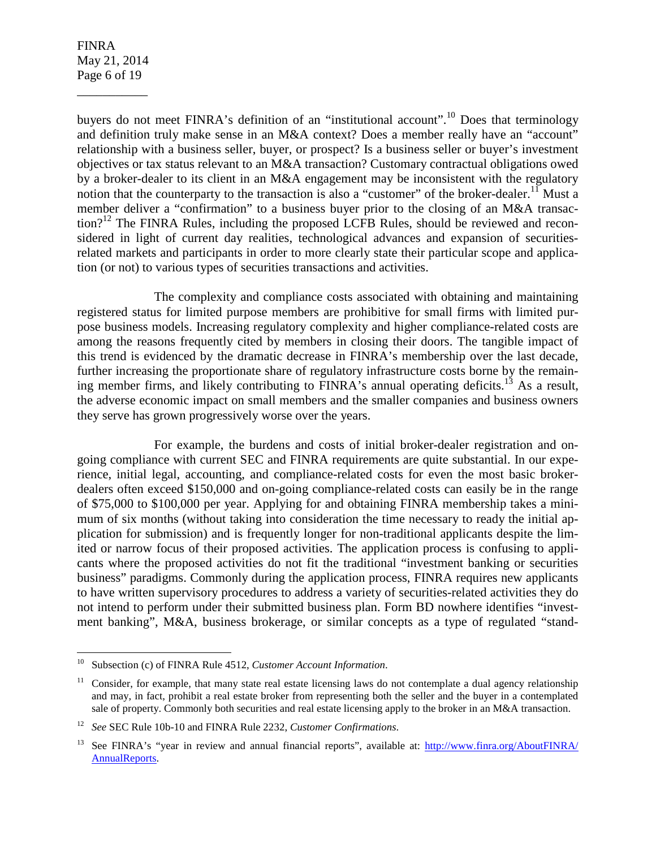FINRA May 21, 2014 Page 6 of 19

\_\_\_\_\_\_\_\_\_\_\_

buyers do not meet FINRA's definition of an "institutional account".<sup>10</sup> Does that terminology and definition truly make sense in an M&A context? Does a member really have an "account" relationship with a business seller, buyer, or prospect? Is a business seller or buyer's investment objectives or tax status relevant to an M&A transaction? Customary contractual obligations owed by a broker-dealer to its client in an M&A engagement may be inconsistent with the regulatory notion that the counterparty to the transaction is also a "customer" of the broker-dealer.<sup>11</sup> Must a member deliver a "confirmation" to a business buyer prior to the closing of an M&A transac- $\mu$  tion?<sup>12</sup> The FINRA Rules, including the proposed LCFB Rules, should be reviewed and reconsidered in light of current day realities, technological advances and expansion of securitiesrelated markets and participants in order to more clearly state their particular scope and application (or not) to various types of securities transactions and activities.

 The complexity and compliance costs associated with obtaining and maintaining registered status for limited purpose members are prohibitive for small firms with limited purpose business models. Increasing regulatory complexity and higher compliance-related costs are among the reasons frequently cited by members in closing their doors. The tangible impact of this trend is evidenced by the dramatic decrease in FINRA's membership over the last decade, further increasing the proportionate share of regulatory infrastructure costs borne by the remaining member firms, and likely contributing to FINRA's annual operating deficits.<sup>13</sup> As a result, the adverse economic impact on small members and the smaller companies and business owners they serve has grown progressively worse over the years.

 For example, the burdens and costs of initial broker-dealer registration and ongoing compliance with current SEC and FINRA requirements are quite substantial. In our experience, initial legal, accounting, and compliance-related costs for even the most basic brokerdealers often exceed \$150,000 and on-going compliance-related costs can easily be in the range of \$75,000 to \$100,000 per year. Applying for and obtaining FINRA membership takes a minimum of six months (without taking into consideration the time necessary to ready the initial application for submission) and is frequently longer for non-traditional applicants despite the limited or narrow focus of their proposed activities. The application process is confusing to applicants where the proposed activities do not fit the traditional "investment banking or securities business" paradigms. Commonly during the application process, FINRA requires new applicants to have written supervisory procedures to address a variety of securities-related activities they do not intend to perform under their submitted business plan. Form BD nowhere identifies "investment banking", M&A, business brokerage, or similar concepts as a type of regulated "stand-

 $10\,$ Subsection (c) of FINRA Rule 4512, *Customer Account Information*.

 $11$  Consider, for example, that many state real estate licensing laws do not contemplate a dual agency relationship and may, in fact, prohibit a real estate broker from representing both the seller and the buyer in a contemplated sale of property. Commonly both securities and real estate licensing apply to the broker in an M&A transaction.

<sup>12</sup> *See* SEC Rule 10b-10 and FINRA Rule 2232, *Customer Confirmations*.

<sup>13</sup> See FINRA's "year in review and annual financial reports", available at: http://www.finra.org/AboutFINRA/ AnnualReports.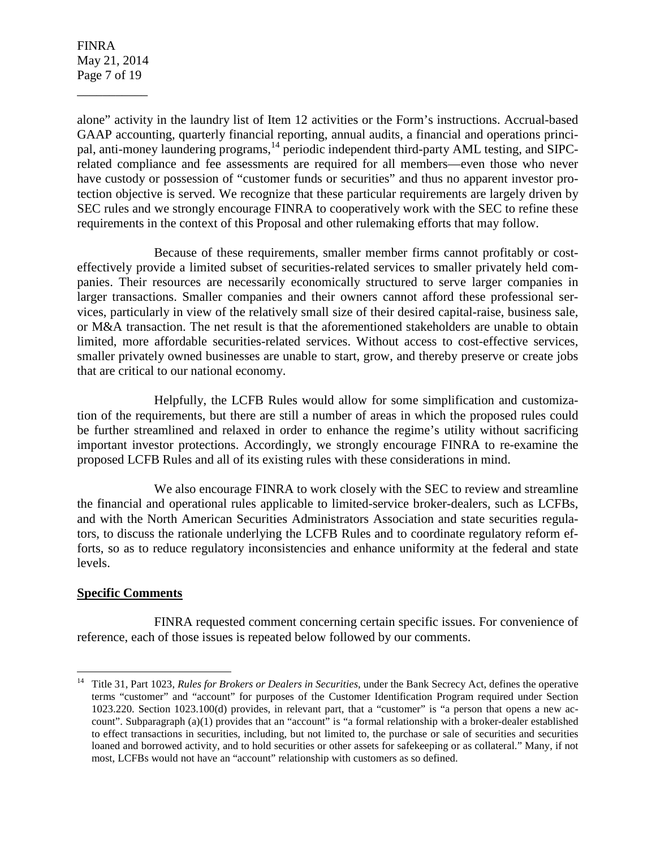FINRA May 21, 2014 Page 7 of 19

\_\_\_\_\_\_\_\_\_\_\_

alone" activity in the laundry list of Item 12 activities or the Form's instructions. Accrual-based GAAP accounting, quarterly financial reporting, annual audits, a financial and operations principal, anti-money laundering programs,<sup>14</sup> periodic independent third-party AML testing, and SIPCrelated compliance and fee assessments are required for all members—even those who never have custody or possession of "customer funds or securities" and thus no apparent investor protection objective is served. We recognize that these particular requirements are largely driven by SEC rules and we strongly encourage FINRA to cooperatively work with the SEC to refine these requirements in the context of this Proposal and other rulemaking efforts that may follow.

 Because of these requirements, smaller member firms cannot profitably or costeffectively provide a limited subset of securities-related services to smaller privately held companies. Their resources are necessarily economically structured to serve larger companies in larger transactions. Smaller companies and their owners cannot afford these professional services, particularly in view of the relatively small size of their desired capital-raise, business sale, or M&A transaction. The net result is that the aforementioned stakeholders are unable to obtain limited, more affordable securities-related services. Without access to cost-effective services, smaller privately owned businesses are unable to start, grow, and thereby preserve or create jobs that are critical to our national economy.

 Helpfully, the LCFB Rules would allow for some simplification and customization of the requirements, but there are still a number of areas in which the proposed rules could be further streamlined and relaxed in order to enhance the regime's utility without sacrificing important investor protections. Accordingly, we strongly encourage FINRA to re-examine the proposed LCFB Rules and all of its existing rules with these considerations in mind.

 We also encourage FINRA to work closely with the SEC to review and streamline the financial and operational rules applicable to limited-service broker-dealers, such as LCFBs, and with the North American Securities Administrators Association and state securities regulators, to discuss the rationale underlying the LCFB Rules and to coordinate regulatory reform efforts, so as to reduce regulatory inconsistencies and enhance uniformity at the federal and state levels.

# **Specific Comments**

<u>.</u>

 FINRA requested comment concerning certain specific issues. For convenience of reference, each of those issues is repeated below followed by our comments.

<sup>&</sup>lt;sup>14</sup> Title 31, Part 1023, *Rules for Brokers or Dealers in Securities*, under the Bank Secrecy Act, defines the operative terms "customer" and "account" for purposes of the Customer Identification Program required under Section 1023.220. Section 1023.100(d) provides, in relevant part, that a "customer" is "a person that opens a new account". Subparagraph (a)(1) provides that an "account" is "a formal relationship with a broker-dealer established to effect transactions in securities, including, but not limited to, the purchase or sale of securities and securities loaned and borrowed activity, and to hold securities or other assets for safekeeping or as collateral." Many, if not most, LCFBs would not have an "account" relationship with customers as so defined.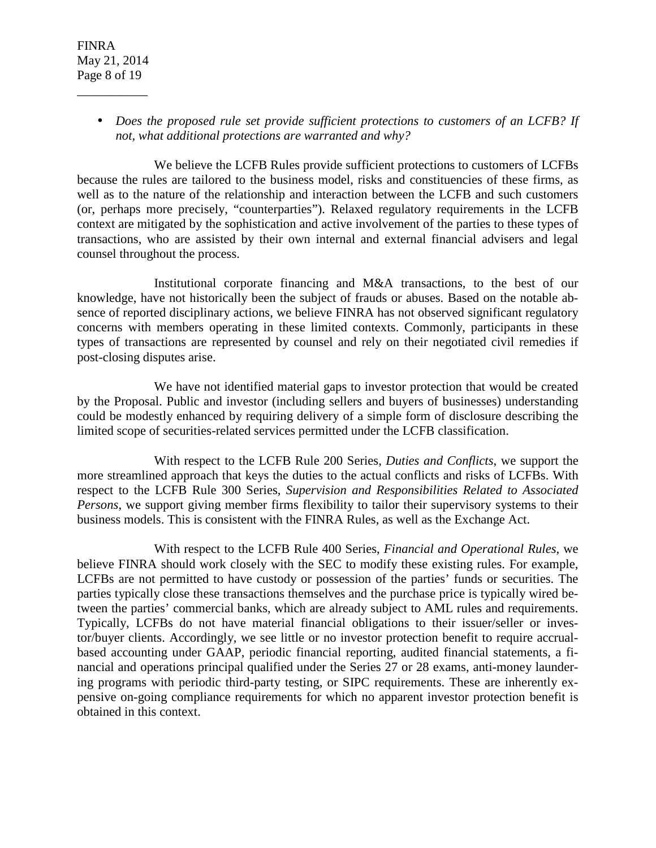• *Does the proposed rule set provide sufficient protections to customers of an LCFB? If not, what additional protections are warranted and why?* 

 We believe the LCFB Rules provide sufficient protections to customers of LCFBs because the rules are tailored to the business model, risks and constituencies of these firms, as well as to the nature of the relationship and interaction between the LCFB and such customers (or, perhaps more precisely, "counterparties"). Relaxed regulatory requirements in the LCFB context are mitigated by the sophistication and active involvement of the parties to these types of transactions, who are assisted by their own internal and external financial advisers and legal counsel throughout the process.

 Institutional corporate financing and M&A transactions, to the best of our knowledge, have not historically been the subject of frauds or abuses. Based on the notable absence of reported disciplinary actions, we believe FINRA has not observed significant regulatory concerns with members operating in these limited contexts. Commonly, participants in these types of transactions are represented by counsel and rely on their negotiated civil remedies if post-closing disputes arise.

 We have not identified material gaps to investor protection that would be created by the Proposal. Public and investor (including sellers and buyers of businesses) understanding could be modestly enhanced by requiring delivery of a simple form of disclosure describing the limited scope of securities-related services permitted under the LCFB classification.

 With respect to the LCFB Rule 200 Series, *Duties and Conflicts*, we support the more streamlined approach that keys the duties to the actual conflicts and risks of LCFBs. With respect to the LCFB Rule 300 Series, *Supervision and Responsibilities Related to Associated Persons*, we support giving member firms flexibility to tailor their supervisory systems to their business models. This is consistent with the FINRA Rules, as well as the Exchange Act.

 With respect to the LCFB Rule 400 Series, *Financial and Operational Rules*, we believe FINRA should work closely with the SEC to modify these existing rules. For example, LCFBs are not permitted to have custody or possession of the parties' funds or securities. The parties typically close these transactions themselves and the purchase price is typically wired between the parties' commercial banks, which are already subject to AML rules and requirements. Typically, LCFBs do not have material financial obligations to their issuer/seller or investor/buyer clients. Accordingly, we see little or no investor protection benefit to require accrualbased accounting under GAAP, periodic financial reporting, audited financial statements, a financial and operations principal qualified under the Series 27 or 28 exams, anti-money laundering programs with periodic third-party testing, or SIPC requirements. These are inherently expensive on-going compliance requirements for which no apparent investor protection benefit is obtained in this context.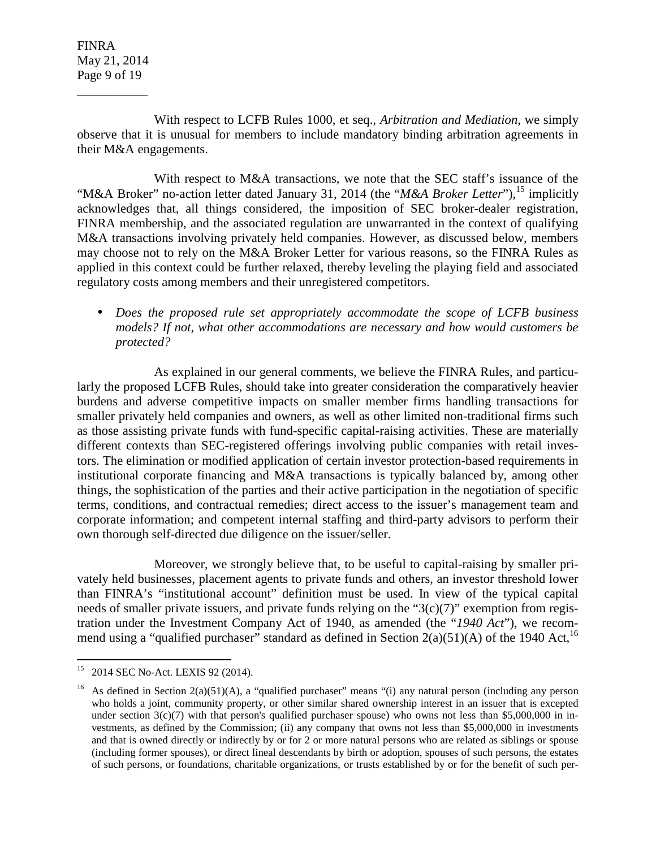FINRA May 21, 2014 Page 9 of 19

\_\_\_\_\_\_\_\_\_\_\_

 With respect to LCFB Rules 1000, et seq., *Arbitration and Mediation*, we simply observe that it is unusual for members to include mandatory binding arbitration agreements in their M&A engagements.

With respect to M&A transactions, we note that the SEC staff's issuance of the "M&A Broker" no-action letter dated January 31, 2014 (the "*M&A Broker Letter*"),<sup>15</sup> implicitly acknowledges that, all things considered, the imposition of SEC broker-dealer registration, FINRA membership, and the associated regulation are unwarranted in the context of qualifying M&A transactions involving privately held companies. However, as discussed below, members may choose not to rely on the M&A Broker Letter for various reasons, so the FINRA Rules as applied in this context could be further relaxed, thereby leveling the playing field and associated regulatory costs among members and their unregistered competitors.

• *Does the proposed rule set appropriately accommodate the scope of LCFB business models? If not, what other accommodations are necessary and how would customers be protected?* 

 As explained in our general comments, we believe the FINRA Rules, and particularly the proposed LCFB Rules, should take into greater consideration the comparatively heavier burdens and adverse competitive impacts on smaller member firms handling transactions for smaller privately held companies and owners, as well as other limited non-traditional firms such as those assisting private funds with fund-specific capital-raising activities. These are materially different contexts than SEC-registered offerings involving public companies with retail investors. The elimination or modified application of certain investor protection-based requirements in institutional corporate financing and M&A transactions is typically balanced by, among other things, the sophistication of the parties and their active participation in the negotiation of specific terms, conditions, and contractual remedies; direct access to the issuer's management team and corporate information; and competent internal staffing and third-party advisors to perform their own thorough self-directed due diligence on the issuer/seller.

 Moreover, we strongly believe that, to be useful to capital-raising by smaller privately held businesses, placement agents to private funds and others, an investor threshold lower than FINRA's "institutional account" definition must be used. In view of the typical capital needs of smaller private issuers, and private funds relying on the "3(c)(7)" exemption from registration under the Investment Company Act of 1940, as amended (the "*1940 Act*"), we recommend using a "qualified purchaser" standard as defined in Section  $2(a)(51)(A)$  of the 1940 Act,<sup>16</sup>

 $15\,$ 2014 SEC No-Act. LEXIS 92 (2014).

As defined in Section  $2(a)(51)(A)$ , a "qualified purchaser" means "(i) any natural person (including any person who holds a joint, community property, or other similar shared ownership interest in an issuer that is excepted under section  $3(c)(7)$  with that person's qualified purchaser spouse) who owns not less than \$5,000,000 in investments, as defined by the Commission; (ii) any company that owns not less than \$5,000,000 in investments and that is owned directly or indirectly by or for 2 or more natural persons who are related as siblings or spouse (including former spouses), or direct lineal descendants by birth or adoption, spouses of such persons, the estates of such persons, or foundations, charitable organizations, or trusts established by or for the benefit of such per-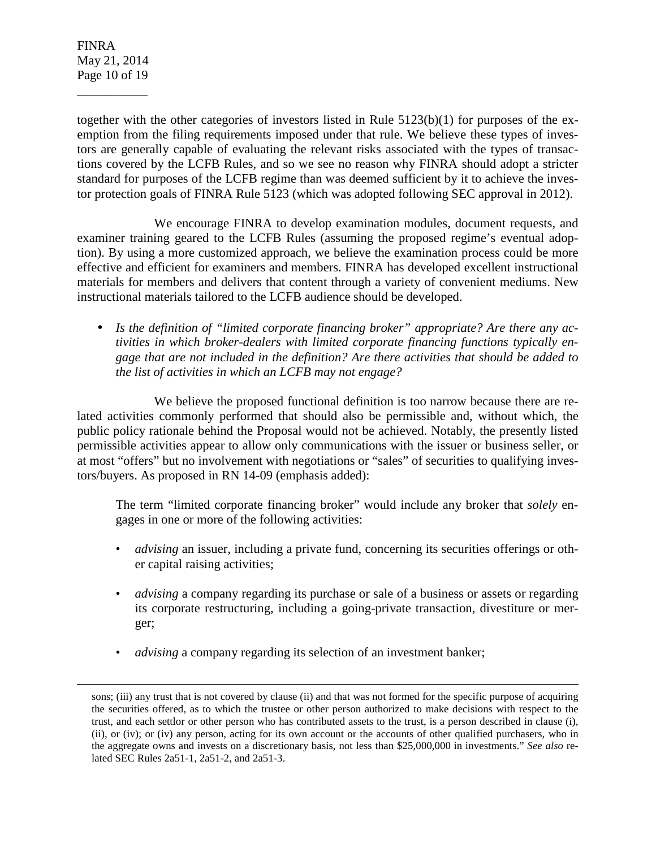FINRA May 21, 2014 Page 10 of 19

\_\_\_\_\_\_\_\_\_\_\_

-

together with the other categories of investors listed in Rule 5123(b)(1) for purposes of the exemption from the filing requirements imposed under that rule. We believe these types of investors are generally capable of evaluating the relevant risks associated with the types of transactions covered by the LCFB Rules, and so we see no reason why FINRA should adopt a stricter standard for purposes of the LCFB regime than was deemed sufficient by it to achieve the investor protection goals of FINRA Rule 5123 (which was adopted following SEC approval in 2012).

 We encourage FINRA to develop examination modules, document requests, and examiner training geared to the LCFB Rules (assuming the proposed regime's eventual adoption). By using a more customized approach, we believe the examination process could be more effective and efficient for examiners and members. FINRA has developed excellent instructional materials for members and delivers that content through a variety of convenient mediums. New instructional materials tailored to the LCFB audience should be developed.

• *Is the definition of "limited corporate financing broker" appropriate? Are there any activities in which broker-dealers with limited corporate financing functions typically engage that are not included in the definition? Are there activities that should be added to the list of activities in which an LCFB may not engage?* 

We believe the proposed functional definition is too narrow because there are related activities commonly performed that should also be permissible and, without which, the public policy rationale behind the Proposal would not be achieved. Notably, the presently listed permissible activities appear to allow only communications with the issuer or business seller, or at most "offers" but no involvement with negotiations or "sales" of securities to qualifying investors/buyers. As proposed in RN 14-09 (emphasis added):

The term "limited corporate financing broker" would include any broker that *solely* engages in one or more of the following activities:

- *advising* an issuer, including a private fund, concerning its securities offerings or other capital raising activities;
- *advising* a company regarding its purchase or sale of a business or assets or regarding its corporate restructuring, including a going-private transaction, divestiture or merger;
- *advising* a company regarding its selection of an investment banker;

sons; (iii) any trust that is not covered by clause (ii) and that was not formed for the specific purpose of acquiring the securities offered, as to which the trustee or other person authorized to make decisions with respect to the trust, and each settlor or other person who has contributed assets to the trust, is a person described in clause (i), (ii), or (iv); or (iv) any person, acting for its own account or the accounts of other qualified purchasers, who in the aggregate owns and invests on a discretionary basis, not less than \$25,000,000 in investments." *See also* related SEC Rules 2a51-1, 2a51-2, and 2a51-3.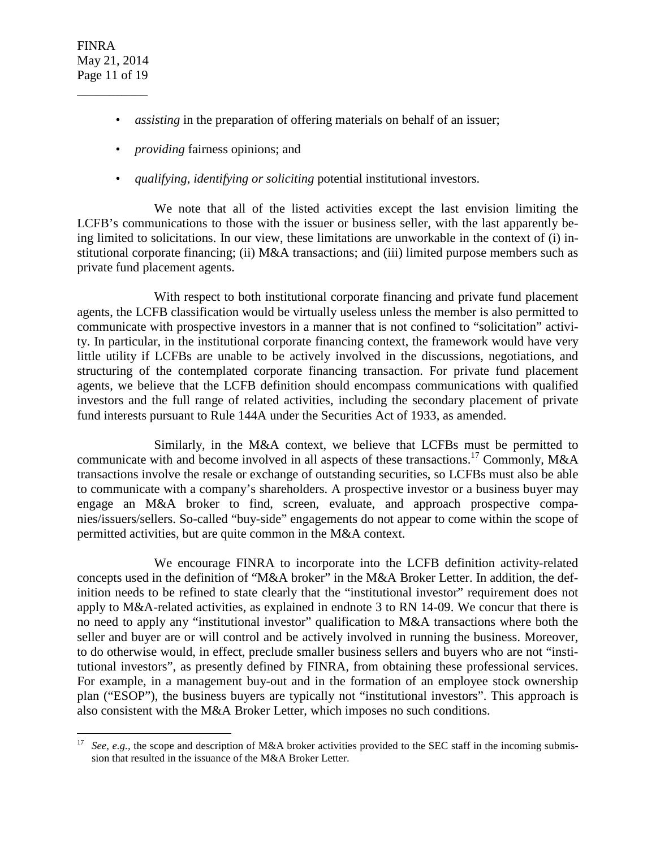- *assisting* in the preparation of offering materials on behalf of an issuer;
- *providing* fairness opinions; and
- *qualifying, identifying or soliciting* potential institutional investors.

 We note that all of the listed activities except the last envision limiting the LCFB's communications to those with the issuer or business seller, with the last apparently being limited to solicitations. In our view, these limitations are unworkable in the context of (i) institutional corporate financing; (ii) M&A transactions; and (iii) limited purpose members such as private fund placement agents.

 With respect to both institutional corporate financing and private fund placement agents, the LCFB classification would be virtually useless unless the member is also permitted to communicate with prospective investors in a manner that is not confined to "solicitation" activity. In particular, in the institutional corporate financing context, the framework would have very little utility if LCFBs are unable to be actively involved in the discussions, negotiations, and structuring of the contemplated corporate financing transaction. For private fund placement agents, we believe that the LCFB definition should encompass communications with qualified investors and the full range of related activities, including the secondary placement of private fund interests pursuant to Rule 144A under the Securities Act of 1933, as amended.

 Similarly, in the M&A context, we believe that LCFBs must be permitted to communicate with and become involved in all aspects of these transactions.<sup>17</sup> Commonly, M&A transactions involve the resale or exchange of outstanding securities, so LCFBs must also be able to communicate with a company's shareholders. A prospective investor or a business buyer may engage an M&A broker to find, screen, evaluate, and approach prospective companies/issuers/sellers. So-called "buy-side" engagements do not appear to come within the scope of permitted activities, but are quite common in the M&A context.

 We encourage FINRA to incorporate into the LCFB definition activity-related concepts used in the definition of "M&A broker" in the M&A Broker Letter. In addition, the definition needs to be refined to state clearly that the "institutional investor" requirement does not apply to M&A-related activities, as explained in endnote 3 to RN 14-09. We concur that there is no need to apply any "institutional investor" qualification to M&A transactions where both the seller and buyer are or will control and be actively involved in running the business. Moreover, to do otherwise would, in effect, preclude smaller business sellers and buyers who are not "institutional investors", as presently defined by FINRA, from obtaining these professional services. For example, in a management buy-out and in the formation of an employee stock ownership plan ("ESOP"), the business buyers are typically not "institutional investors". This approach is also consistent with the M&A Broker Letter, which imposes no such conditions.

<sup>&</sup>lt;u>.</u> <sup>17</sup> *See, e.g.,* the scope and description of M&A broker activities provided to the SEC staff in the incoming submission that resulted in the issuance of the M&A Broker Letter.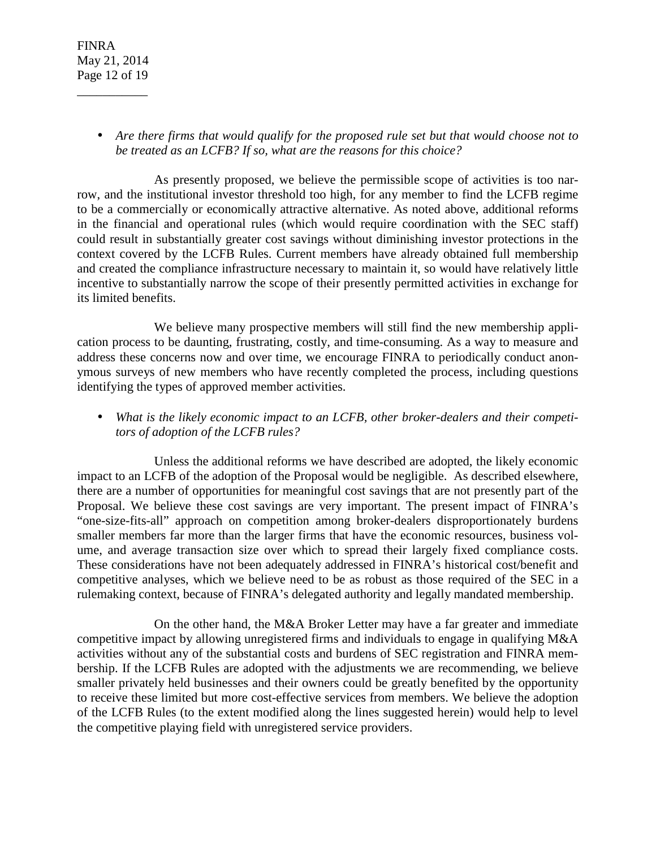• *Are there firms that would qualify for the proposed rule set but that would choose not to be treated as an LCFB? If so, what are the reasons for this choice?* 

 As presently proposed, we believe the permissible scope of activities is too narrow, and the institutional investor threshold too high, for any member to find the LCFB regime to be a commercially or economically attractive alternative. As noted above, additional reforms in the financial and operational rules (which would require coordination with the SEC staff) could result in substantially greater cost savings without diminishing investor protections in the context covered by the LCFB Rules. Current members have already obtained full membership and created the compliance infrastructure necessary to maintain it, so would have relatively little incentive to substantially narrow the scope of their presently permitted activities in exchange for its limited benefits.

 We believe many prospective members will still find the new membership application process to be daunting, frustrating, costly, and time-consuming. As a way to measure and address these concerns now and over time, we encourage FINRA to periodically conduct anonymous surveys of new members who have recently completed the process, including questions identifying the types of approved member activities.

• *What is the likely economic impact to an LCFB, other broker-dealers and their competitors of adoption of the LCFB rules?* 

 Unless the additional reforms we have described are adopted, the likely economic impact to an LCFB of the adoption of the Proposal would be negligible. As described elsewhere, there are a number of opportunities for meaningful cost savings that are not presently part of the Proposal. We believe these cost savings are very important. The present impact of FINRA's "one-size-fits-all" approach on competition among broker-dealers disproportionately burdens smaller members far more than the larger firms that have the economic resources, business volume, and average transaction size over which to spread their largely fixed compliance costs. These considerations have not been adequately addressed in FINRA's historical cost/benefit and competitive analyses, which we believe need to be as robust as those required of the SEC in a rulemaking context, because of FINRA's delegated authority and legally mandated membership.

 On the other hand, the M&A Broker Letter may have a far greater and immediate competitive impact by allowing unregistered firms and individuals to engage in qualifying M&A activities without any of the substantial costs and burdens of SEC registration and FINRA membership. If the LCFB Rules are adopted with the adjustments we are recommending, we believe smaller privately held businesses and their owners could be greatly benefited by the opportunity to receive these limited but more cost-effective services from members. We believe the adoption of the LCFB Rules (to the extent modified along the lines suggested herein) would help to level the competitive playing field with unregistered service providers.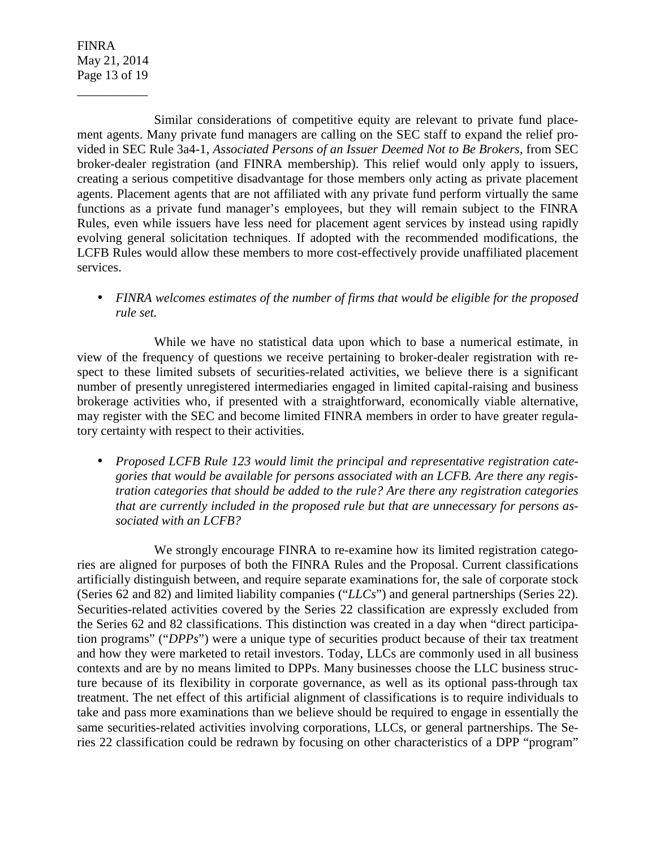FINRA May 21, 2014 Page 13 of 19

\_\_\_\_\_\_\_\_\_\_\_

 Similar considerations of competitive equity are relevant to private fund placement agents. Many private fund managers are calling on the SEC staff to expand the relief provided in SEC Rule 3a4-1, *Associated Persons of an Issuer Deemed Not to Be Brokers*, from SEC broker-dealer registration (and FINRA membership). This relief would only apply to issuers, creating a serious competitive disadvantage for those members only acting as private placement agents. Placement agents that are not affiliated with any private fund perform virtually the same functions as a private fund manager's employees, but they will remain subject to the FINRA Rules, even while issuers have less need for placement agent services by instead using rapidly evolving general solicitation techniques. If adopted with the recommended modifications, the LCFB Rules would allow these members to more cost-effectively provide unaffiliated placement services.

• *FINRA welcomes estimates of the number of firms that would be eligible for the proposed rule set.* 

 While we have no statistical data upon which to base a numerical estimate, in view of the frequency of questions we receive pertaining to broker-dealer registration with respect to these limited subsets of securities-related activities, we believe there is a significant number of presently unregistered intermediaries engaged in limited capital-raising and business brokerage activities who, if presented with a straightforward, economically viable alternative, may register with the SEC and become limited FINRA members in order to have greater regulatory certainty with respect to their activities.

• *Proposed LCFB Rule 123 would limit the principal and representative registration categories that would be available for persons associated with an LCFB. Are there any registration categories that should be added to the rule? Are there any registration categories that are currently included in the proposed rule but that are unnecessary for persons associated with an LCFB?* 

 We strongly encourage FINRA to re-examine how its limited registration categories are aligned for purposes of both the FINRA Rules and the Proposal. Current classifications artificially distinguish between, and require separate examinations for, the sale of corporate stock (Series 62 and 82) and limited liability companies ("*LLCs*") and general partnerships (Series 22). Securities-related activities covered by the Series 22 classification are expressly excluded from the Series 62 and 82 classifications. This distinction was created in a day when "direct participation programs" ("*DPPs*") were a unique type of securities product because of their tax treatment and how they were marketed to retail investors. Today, LLCs are commonly used in all business contexts and are by no means limited to DPPs. Many businesses choose the LLC business structure because of its flexibility in corporate governance, as well as its optional pass-through tax treatment. The net effect of this artificial alignment of classifications is to require individuals to take and pass more examinations than we believe should be required to engage in essentially the same securities-related activities involving corporations, LLCs, or general partnerships. The Series 22 classification could be redrawn by focusing on other characteristics of a DPP "program"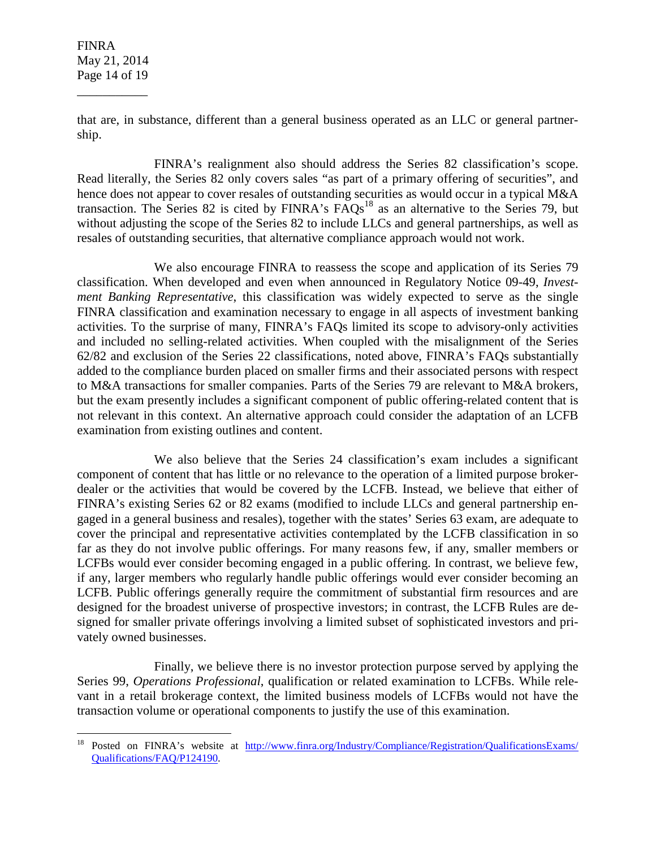FINRA May 21, 2014 Page 14 of 19

\_\_\_\_\_\_\_\_\_\_\_

 $\overline{a}$ 

that are, in substance, different than a general business operated as an LLC or general partnership.

 FINRA's realignment also should address the Series 82 classification's scope. Read literally, the Series 82 only covers sales "as part of a primary offering of securities", and hence does not appear to cover resales of outstanding securities as would occur in a typical M&A transaction. The Series 82 is cited by FINRA's  $\overline{PAQs}^{18}$  as an alternative to the Series 79, but without adjusting the scope of the Series 82 to include LLCs and general partnerships, as well as resales of outstanding securities, that alternative compliance approach would not work.

 We also encourage FINRA to reassess the scope and application of its Series 79 classification. When developed and even when announced in Regulatory Notice 09-49, *Investment Banking Representative*, this classification was widely expected to serve as the single FINRA classification and examination necessary to engage in all aspects of investment banking activities. To the surprise of many, FINRA's FAQs limited its scope to advisory-only activities and included no selling-related activities. When coupled with the misalignment of the Series 62/82 and exclusion of the Series 22 classifications, noted above, FINRA's FAQs substantially added to the compliance burden placed on smaller firms and their associated persons with respect to M&A transactions for smaller companies. Parts of the Series 79 are relevant to M&A brokers, but the exam presently includes a significant component of public offering-related content that is not relevant in this context. An alternative approach could consider the adaptation of an LCFB examination from existing outlines and content.

 We also believe that the Series 24 classification's exam includes a significant component of content that has little or no relevance to the operation of a limited purpose brokerdealer or the activities that would be covered by the LCFB. Instead, we believe that either of FINRA's existing Series 62 or 82 exams (modified to include LLCs and general partnership engaged in a general business and resales), together with the states' Series 63 exam, are adequate to cover the principal and representative activities contemplated by the LCFB classification in so far as they do not involve public offerings. For many reasons few, if any, smaller members or LCFBs would ever consider becoming engaged in a public offering. In contrast, we believe few, if any, larger members who regularly handle public offerings would ever consider becoming an LCFB. Public offerings generally require the commitment of substantial firm resources and are designed for the broadest universe of prospective investors; in contrast, the LCFB Rules are designed for smaller private offerings involving a limited subset of sophisticated investors and privately owned businesses.

 Finally, we believe there is no investor protection purpose served by applying the Series 99, *Operations Professional*, qualification or related examination to LCFBs. While relevant in a retail brokerage context, the limited business models of LCFBs would not have the transaction volume or operational components to justify the use of this examination.

<sup>18</sup> Posted on FINRA's website at http://www.finra.org/Industry/Compliance/Registration/QualificationsExams/ Qualifications/FAQ/P124190.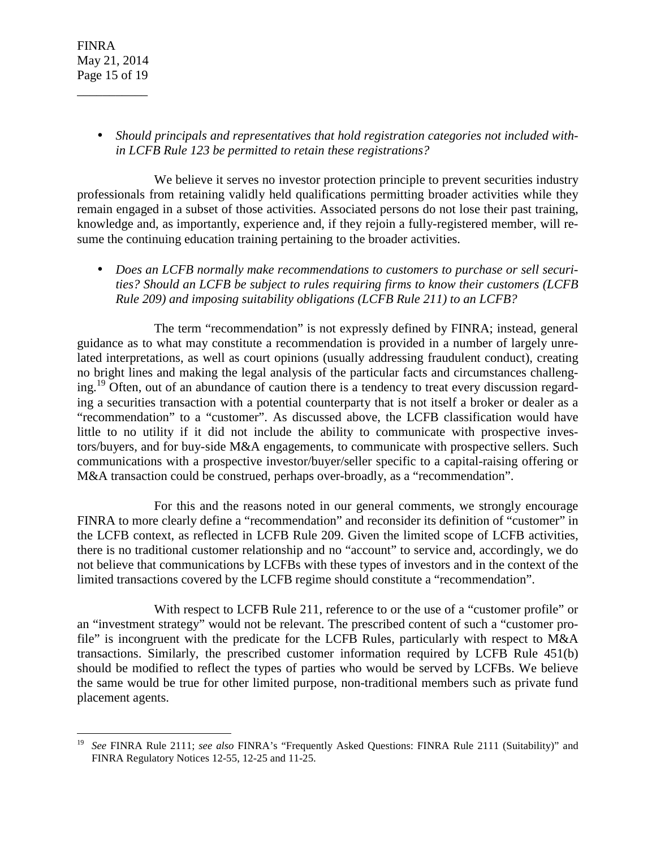• *Should principals and representatives that hold registration categories not included within LCFB Rule 123 be permitted to retain these registrations?* 

 We believe it serves no investor protection principle to prevent securities industry professionals from retaining validly held qualifications permitting broader activities while they remain engaged in a subset of those activities. Associated persons do not lose their past training, knowledge and, as importantly, experience and, if they rejoin a fully-registered member, will resume the continuing education training pertaining to the broader activities.

• *Does an LCFB normally make recommendations to customers to purchase or sell securities? Should an LCFB be subject to rules requiring firms to know their customers (LCFB Rule 209) and imposing suitability obligations (LCFB Rule 211) to an LCFB?* 

 The term "recommendation" is not expressly defined by FINRA; instead, general guidance as to what may constitute a recommendation is provided in a number of largely unrelated interpretations, as well as court opinions (usually addressing fraudulent conduct), creating no bright lines and making the legal analysis of the particular facts and circumstances challenging.<sup>19</sup> Often, out of an abundance of caution there is a tendency to treat every discussion regarding a securities transaction with a potential counterparty that is not itself a broker or dealer as a "recommendation" to a "customer". As discussed above, the LCFB classification would have little to no utility if it did not include the ability to communicate with prospective investors/buyers, and for buy-side M&A engagements, to communicate with prospective sellers. Such communications with a prospective investor/buyer/seller specific to a capital-raising offering or M&A transaction could be construed, perhaps over-broadly, as a "recommendation".

 For this and the reasons noted in our general comments, we strongly encourage FINRA to more clearly define a "recommendation" and reconsider its definition of "customer" in the LCFB context, as reflected in LCFB Rule 209. Given the limited scope of LCFB activities, there is no traditional customer relationship and no "account" to service and, accordingly, we do not believe that communications by LCFBs with these types of investors and in the context of the limited transactions covered by the LCFB regime should constitute a "recommendation".

With respect to LCFB Rule 211, reference to or the use of a "customer profile" or an "investment strategy" would not be relevant. The prescribed content of such a "customer profile" is incongruent with the predicate for the LCFB Rules, particularly with respect to M&A transactions. Similarly, the prescribed customer information required by LCFB Rule 451(b) should be modified to reflect the types of parties who would be served by LCFBs. We believe the same would be true for other limited purpose, non-traditional members such as private fund placement agents.

<sup>&</sup>lt;u>.</u> 19 *See* FINRA Rule 2111; *see also* FINRA's "Frequently Asked Questions: FINRA Rule 2111 (Suitability)" and FINRA Regulatory Notices 12-55, 12-25 and 11-25.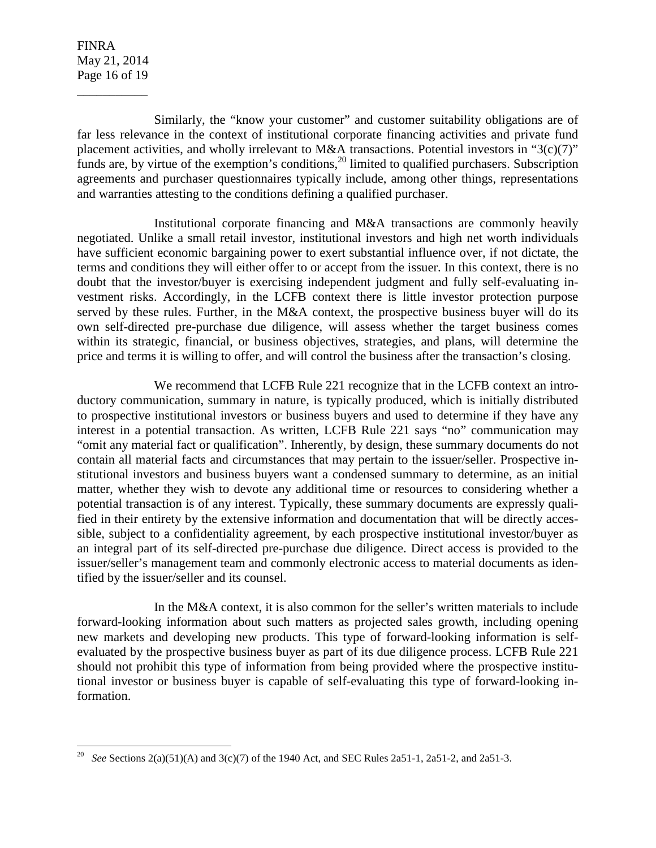FINRA May 21, 2014 Page 16 of 19

\_\_\_\_\_\_\_\_\_\_\_

Similarly, the "know your customer" and customer suitability obligations are of far less relevance in the context of institutional corporate financing activities and private fund placement activities, and wholly irrelevant to M&A transactions. Potential investors in "3(c)(7)" funds are, by virtue of the exemption's conditions,  $20$  limited to qualified purchasers. Subscription agreements and purchaser questionnaires typically include, among other things, representations and warranties attesting to the conditions defining a qualified purchaser.

 Institutional corporate financing and M&A transactions are commonly heavily negotiated. Unlike a small retail investor, institutional investors and high net worth individuals have sufficient economic bargaining power to exert substantial influence over, if not dictate, the terms and conditions they will either offer to or accept from the issuer. In this context, there is no doubt that the investor/buyer is exercising independent judgment and fully self-evaluating investment risks. Accordingly, in the LCFB context there is little investor protection purpose served by these rules. Further, in the M&A context, the prospective business buyer will do its own self-directed pre-purchase due diligence, will assess whether the target business comes within its strategic, financial, or business objectives, strategies, and plans, will determine the price and terms it is willing to offer, and will control the business after the transaction's closing.

 We recommend that LCFB Rule 221 recognize that in the LCFB context an introductory communication, summary in nature, is typically produced, which is initially distributed to prospective institutional investors or business buyers and used to determine if they have any interest in a potential transaction. As written, LCFB Rule 221 says "no" communication may "omit any material fact or qualification". Inherently, by design, these summary documents do not contain all material facts and circumstances that may pertain to the issuer/seller. Prospective institutional investors and business buyers want a condensed summary to determine, as an initial matter, whether they wish to devote any additional time or resources to considering whether a potential transaction is of any interest. Typically, these summary documents are expressly qualified in their entirety by the extensive information and documentation that will be directly accessible, subject to a confidentiality agreement, by each prospective institutional investor/buyer as an integral part of its self-directed pre-purchase due diligence. Direct access is provided to the issuer/seller's management team and commonly electronic access to material documents as identified by the issuer/seller and its counsel.

 In the M&A context, it is also common for the seller's written materials to include forward-looking information about such matters as projected sales growth, including opening new markets and developing new products. This type of forward-looking information is selfevaluated by the prospective business buyer as part of its due diligence process. LCFB Rule 221 should not prohibit this type of information from being provided where the prospective institutional investor or business buyer is capable of self-evaluating this type of forward-looking information.

*<sup>20</sup> See* Sections 2(a)(51)(A) and 3(c)(7) of the 1940 Act, and SEC Rules 2a51-1, 2a51-2, and 2a51-3.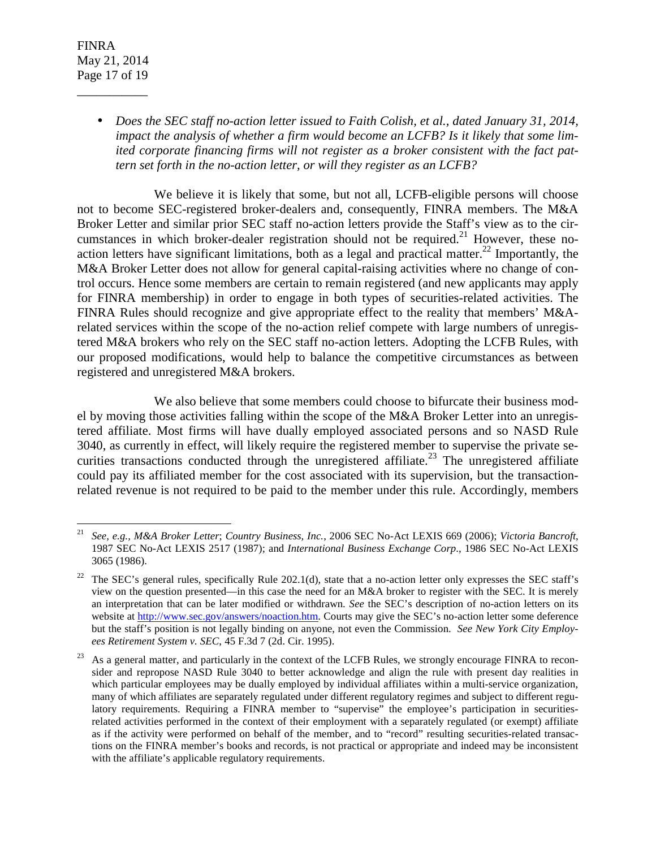FINRA May 21, 2014 Page 17 of 19

\_\_\_\_\_\_\_\_\_\_\_

• *Does the SEC staff no-action letter issued to Faith Colish, et al., dated January 31, 2014, impact the analysis of whether a firm would become an LCFB? Is it likely that some limited corporate financing firms will not register as a broker consistent with the fact pattern set forth in the no-action letter, or will they register as an LCFB?* 

We believe it is likely that some, but not all, LCFB-eligible persons will choose not to become SEC-registered broker-dealers and, consequently, FINRA members. The M&A Broker Letter and similar prior SEC staff no-action letters provide the Staff's view as to the circumstances in which broker-dealer registration should not be required.<sup>21</sup> However, these noaction letters have significant limitations, both as a legal and practical matter.<sup>22</sup> Importantly, the M&A Broker Letter does not allow for general capital-raising activities where no change of control occurs. Hence some members are certain to remain registered (and new applicants may apply for FINRA membership) in order to engage in both types of securities-related activities. The FINRA Rules should recognize and give appropriate effect to the reality that members' M&Arelated services within the scope of the no-action relief compete with large numbers of unregistered M&A brokers who rely on the SEC staff no-action letters. Adopting the LCFB Rules, with our proposed modifications, would help to balance the competitive circumstances as between registered and unregistered M&A brokers.

 We also believe that some members could choose to bifurcate their business model by moving those activities falling within the scope of the M&A Broker Letter into an unregistered affiliate. Most firms will have dually employed associated persons and so NASD Rule 3040, as currently in effect, will likely require the registered member to supervise the private securities transactions conducted through the unregistered affiliate.<sup>23</sup> The unregistered affiliate could pay its affiliated member for the cost associated with its supervision, but the transactionrelated revenue is not required to be paid to the member under this rule. Accordingly, members

 $\frac{1}{21}$  *See, e.g., M&A Broker Letter*; *Country Business, Inc.*, 2006 SEC No-Act LEXIS 669 (2006); *Victoria Bancroft*, 1987 SEC No-Act LEXIS 2517 (1987); and *International Business Exchange Corp*., 1986 SEC No-Act LEXIS 3065 (1986).

<sup>&</sup>lt;sup>22</sup> The SEC's general rules, specifically Rule 202.1(d), state that a no-action letter only expresses the SEC staff's view on the question presented—in this case the need for an M&A broker to register with the SEC. It is merely an interpretation that can be later modified or withdrawn. *See* the SEC's description of no-action letters on its website at http://www.sec.gov/answers/noaction.htm. Courts may give the SEC's no-action letter some deference but the staff's position is not legally binding on anyone, not even the Commission. *See New York City Employees Retirement System v. SEC*, 45 F.3d 7 (2d. Cir. 1995).

<sup>&</sup>lt;sup>23</sup> As a general matter, and particularly in the context of the LCFB Rules, we strongly encourage FINRA to reconsider and repropose NASD Rule 3040 to better acknowledge and align the rule with present day realities in which particular employees may be dually employed by individual affiliates within a multi-service organization, many of which affiliates are separately regulated under different regulatory regimes and subject to different regulatory requirements. Requiring a FINRA member to "supervise" the employee's participation in securitiesrelated activities performed in the context of their employment with a separately regulated (or exempt) affiliate as if the activity were performed on behalf of the member, and to "record" resulting securities-related transactions on the FINRA member's books and records, is not practical or appropriate and indeed may be inconsistent with the affiliate's applicable regulatory requirements.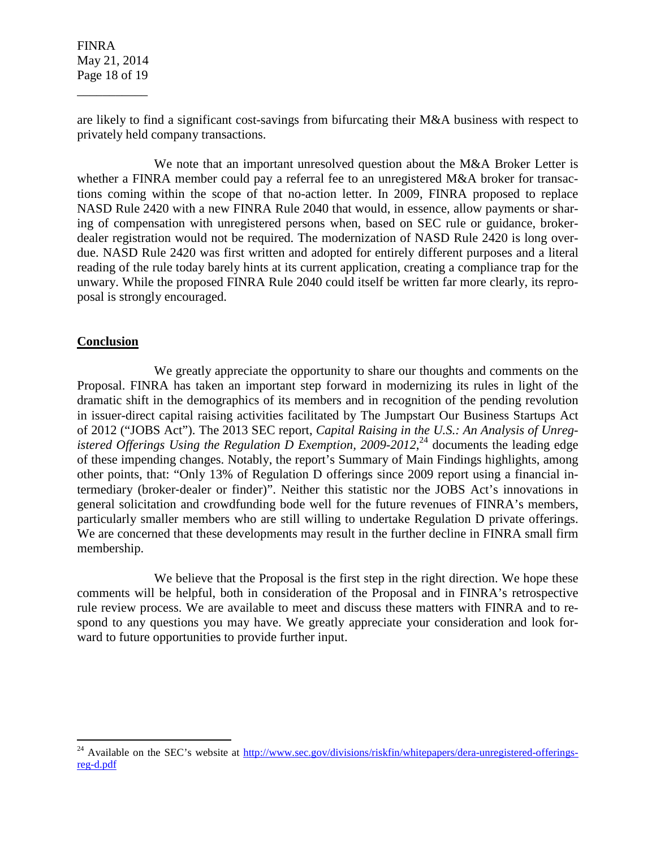FINRA May 21, 2014 Page 18 of 19

\_\_\_\_\_\_\_\_\_\_\_

are likely to find a significant cost-savings from bifurcating their M&A business with respect to privately held company transactions.

 We note that an important unresolved question about the M&A Broker Letter is whether a FINRA member could pay a referral fee to an unregistered M&A broker for transactions coming within the scope of that no-action letter. In 2009, FINRA proposed to replace NASD Rule 2420 with a new FINRA Rule 2040 that would, in essence, allow payments or sharing of compensation with unregistered persons when, based on SEC rule or guidance, brokerdealer registration would not be required. The modernization of NASD Rule 2420 is long overdue. NASD Rule 2420 was first written and adopted for entirely different purposes and a literal reading of the rule today barely hints at its current application, creating a compliance trap for the unwary. While the proposed FINRA Rule 2040 could itself be written far more clearly, its reproposal is strongly encouraged.

# **Conclusion**

 $\overline{a}$ 

 We greatly appreciate the opportunity to share our thoughts and comments on the Proposal. FINRA has taken an important step forward in modernizing its rules in light of the dramatic shift in the demographics of its members and in recognition of the pending revolution in issuer-direct capital raising activities facilitated by The Jumpstart Our Business Startups Act of 2012 ("JOBS Act"). The 2013 SEC report, *Capital Raising in the U.S.: An Analysis of Unreg*istered Offerings Using the Regulation  $\overline{D}$  Exemption, 2009-2012,<sup>24</sup> documents the leading edge of these impending changes. Notably, the report's Summary of Main Findings highlights, among other points, that: "Only 13% of Regulation D offerings since 2009 report using a financial intermediary (broker‐dealer or finder)". Neither this statistic nor the JOBS Act's innovations in general solicitation and crowdfunding bode well for the future revenues of FINRA's members, particularly smaller members who are still willing to undertake Regulation D private offerings. We are concerned that these developments may result in the further decline in FINRA small firm membership.

We believe that the Proposal is the first step in the right direction. We hope these comments will be helpful, both in consideration of the Proposal and in FINRA's retrospective rule review process. We are available to meet and discuss these matters with FINRA and to respond to any questions you may have. We greatly appreciate your consideration and look forward to future opportunities to provide further input.

<sup>&</sup>lt;sup>24</sup> Available on the SEC's website at  $\frac{http://www/sec.gov/divisions/riskfin/whitepapers/dera-unregistered-offerings$ reg-d.pdf